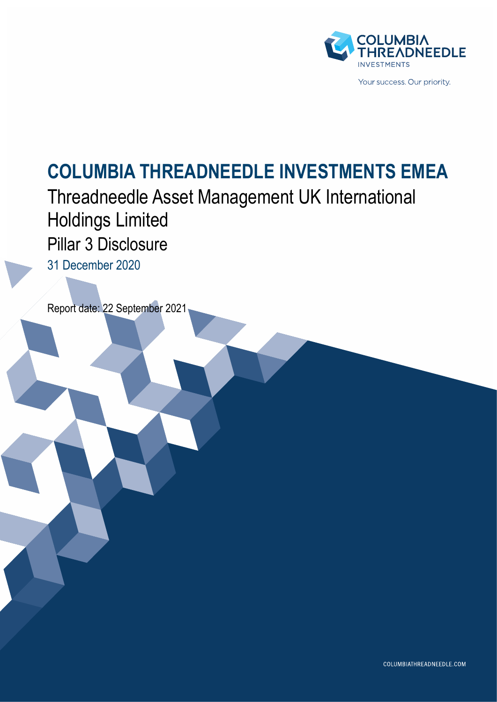

# **COLUMBIA THREADNEEDLE INVESTMENTS EMEA**

Threadneedle Asset Management UK International Holdings Limited Pillar 3 Disclosure

31 December 2020

Report date: 22 September 2021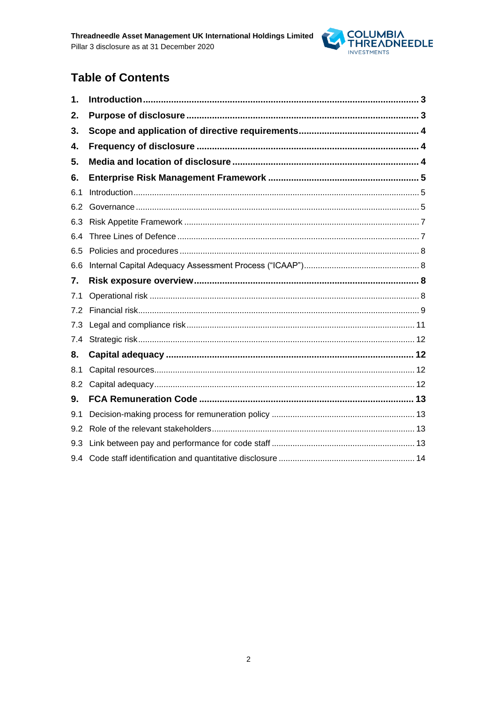

### **Table of Contents**

| 1.  |  |
|-----|--|
| 2.  |  |
| 3.  |  |
| 4.  |  |
| 5.  |  |
| 6.  |  |
| 6.1 |  |
| 6.2 |  |
| 6.3 |  |
| 6.4 |  |
| 6.5 |  |
| 6.6 |  |
| 7.  |  |
| 7.1 |  |
| 7.2 |  |
| 7.3 |  |
| 7.4 |  |
| 8.  |  |
| 8.1 |  |
| 8.2 |  |
|     |  |
| 9.  |  |
| 9.1 |  |
| 9.2 |  |
| 9.3 |  |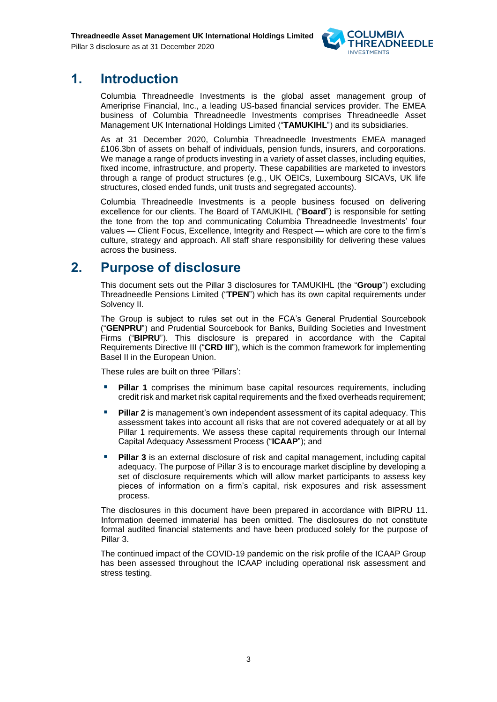

### <span id="page-2-0"></span>**1. Introduction**

Columbia Threadneedle Investments is the global asset management group of Ameriprise Financial, Inc., a leading US-based financial services provider. The EMEA business of Columbia Threadneedle Investments comprises Threadneedle Asset Management UK International Holdings Limited ("**TAMUKIHL**") and its subsidiaries.

As at 31 December 2020, Columbia Threadneedle Investments EMEA managed £106.3bn of assets on behalf of individuals, pension funds, insurers, and corporations. We manage a range of products investing in a variety of asset classes, including equities, fixed income, infrastructure, and property. These capabilities are marketed to investors through a range of product structures (e.g., UK OEICs, Luxembourg SICAVs, UK life structures, closed ended funds, unit trusts and segregated accounts).

Columbia Threadneedle Investments is a people business focused on delivering excellence for our clients. The Board of TAMUKIHL ("**Board**") is responsible for setting the tone from the top and communicating Columbia Threadneedle Investments' four values — Client Focus, Excellence, Integrity and Respect — which are core to the firm's culture, strategy and approach. All staff share responsibility for delivering these values across the business.

### <span id="page-2-1"></span>**2. Purpose of disclosure**

This document sets out the Pillar 3 disclosures for TAMUKIHL (the "**Group**") excluding Threadneedle Pensions Limited ("**TPEN**") which has its own capital requirements under Solvency II.

The Group is subject to rules set out in the FCA's General Prudential Sourcebook ("**GENPRU**") and Prudential Sourcebook for Banks, Building Societies and Investment Firms ("**BIPRU**"). This disclosure is prepared in accordance with the Capital Requirements Directive III ("**CRD III**"), which is the common framework for implementing Basel II in the European Union.

These rules are built on three 'Pillars':

- Pillar 1 comprises the minimum base capital resources requirements, including credit risk and market risk capital requirements and the fixed overheads requirement;
- **Pillar 2** is management's own independent assessment of its capital adequacy. This assessment takes into account all risks that are not covered adequately or at all by Pillar 1 requirements. We assess these capital requirements through our Internal Capital Adequacy Assessment Process ("**ICAAP**"); and
- **Pillar 3** is an external disclosure of risk and capital management, including capital adequacy. The purpose of Pillar 3 is to encourage market discipline by developing a set of disclosure requirements which will allow market participants to assess key pieces of information on a firm's capital, risk exposures and risk assessment process.

The disclosures in this document have been prepared in accordance with BIPRU 11. Information deemed immaterial has been omitted. The disclosures do not constitute formal audited financial statements and have been produced solely for the purpose of Pillar 3.

<span id="page-2-2"></span>The continued impact of the COVID-19 pandemic on the risk profile of the ICAAP Group has been assessed throughout the ICAAP including operational risk assessment and stress testing.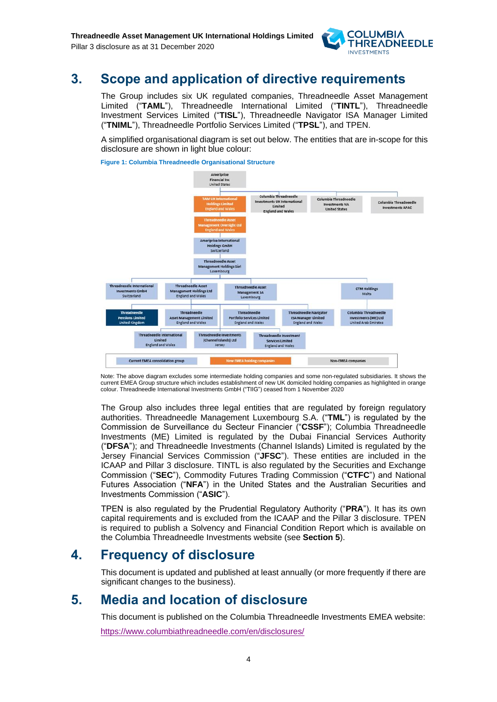

### **3. Scope and application of directive requirements**

The Group includes six UK regulated companies, Threadneedle Asset Management Limited ("**TAML**"), Threadneedle International Limited ("**TINTL**"), Threadneedle Investment Services Limited ("**TISL**"), Threadneedle Navigator ISA Manager Limited ("**TNIML**"), Threadneedle Portfolio Services Limited ("**TPSL**"), and TPEN.

A simplified organisational diagram is set out below. The entities that are in-scope for this disclosure are shown in light blue colour:

**Figure 1: Columbia Threadneedle Organisational Structure**



Note: The above diagram excludes some intermediate holding companies and some non-regulated subsidiaries. It shows the current EMEA Group structure which includes establishment of new UK domiciled holding companies as highlighted in orange colour. Threadneedle International Investments GmbH ("TIIG") ceased from 1 November 2020

The Group also includes three legal entities that are regulated by foreign regulatory authorities. Threadneedle Management Luxembourg S.A. ("**TML**") is regulated by the Commission de Surveillance du Secteur Financier ("**CSSF**"); Columbia Threadneedle Investments (ME) Limited is regulated by the Dubai Financial Services Authority ("**DFSA**"); and Threadneedle Investments (Channel Islands) Limited is regulated by the Jersey Financial Services Commission ("**JFSC**"). These entities are included in the ICAAP and Pillar 3 disclosure. TINTL is also regulated by the Securities and Exchange Commission ("**SEC**"), Commodity Futures Trading Commission ("**CTFC**") and National Futures Association ("**NFA**") in the United States and the Australian Securities and Investments Commission ("**ASIC**").

TPEN is also regulated by the Prudential Regulatory Authority ("**PRA**"). It has its own capital requirements and is excluded from the ICAAP and the Pillar 3 disclosure. TPEN is required to publish a Solvency and Financial Condition Report which is available on the Columbia Threadneedle Investments website (see **Section 5**).

### <span id="page-3-0"></span>**4. Frequency of disclosure**

This document is updated and published at least annually (or more frequently if there are significant changes to the business).

### <span id="page-3-1"></span>**5. Media and location of disclosure**

This document is published on the Columbia Threadneedle Investments EMEA website: <https://www.columbiathreadneedle.com/en/disclosures/>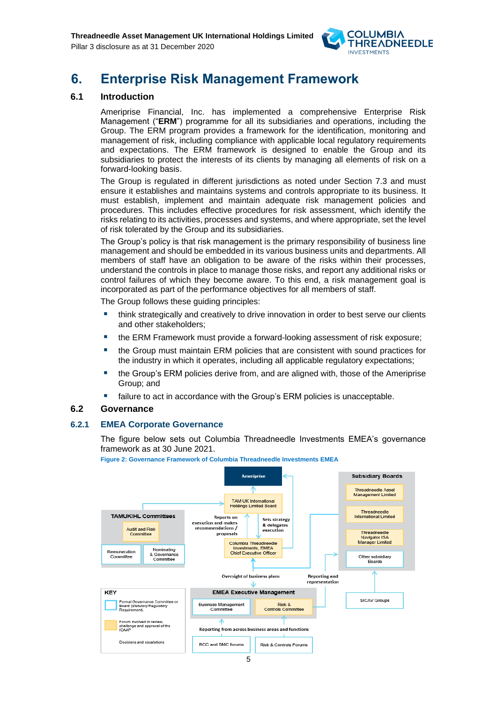

## <span id="page-4-0"></span>**6. Enterprise Risk Management Framework**

#### <span id="page-4-1"></span>**6.1 Introduction**

Ameriprise Financial, Inc. has implemented a comprehensive Enterprise Risk Management ("**ERM**") programme for all its subsidiaries and operations, including the Group. The ERM program provides a framework for the identification, monitoring and management of risk, including compliance with applicable local regulatory requirements and expectations. The ERM framework is designed to enable the Group and its subsidiaries to protect the interests of its clients by managing all elements of risk on a forward-looking basis.

The Group is regulated in different jurisdictions as noted under Section 7.3 and must ensure it establishes and maintains systems and controls appropriate to its business. It must establish, implement and maintain adequate risk management policies and procedures. This includes effective procedures for risk assessment, which identify the risks relating to its activities, processes and systems, and where appropriate, set the level of risk tolerated by the Group and its subsidiaries.

The Group's policy is that risk management is the primary responsibility of business line management and should be embedded in its various business units and departments. All members of staff have an obligation to be aware of the risks within their processes, understand the controls in place to manage those risks, and report any additional risks or control failures of which they become aware. To this end, a risk management goal is incorporated as part of the performance objectives for all members of staff.

The Group follows these guiding principles:

- think strategically and creatively to drive innovation in order to best serve our clients and other stakeholders;
- the ERM Framework must provide a forward-looking assessment of risk exposure;
- the Group must maintain ERM policies that are consistent with sound practices for the industry in which it operates, including all applicable regulatory expectations;
- the Group's ERM policies derive from, and are aligned with, those of the Ameriprise Group; and
- failure to act in accordance with the Group's ERM policies is unacceptable.

#### <span id="page-4-2"></span>**6.2 Governance**

#### **6.2.1 EMEA Corporate Governance**

The figure below sets out Columbia Threadneedle Investments EMEA's governance framework as at 30 June 2021.



**Figure 2: Governance Framework of Columbia Threadneedle Investments EMEA**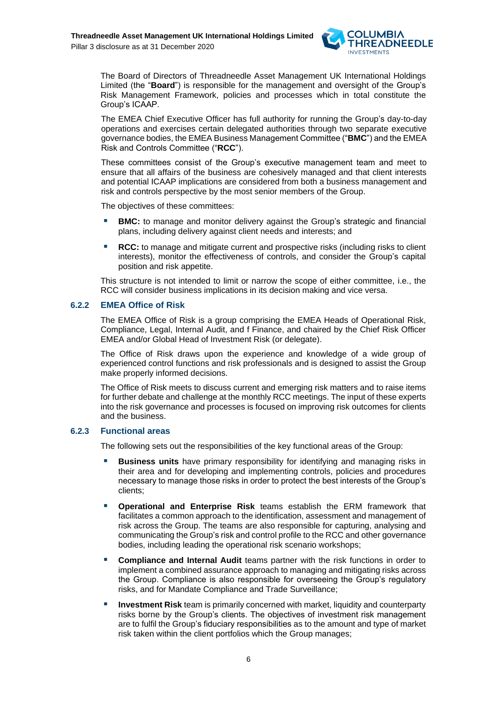

The Board of Directors of Threadneedle Asset Management UK International Holdings Limited (the "**Board**") is responsible for the management and oversight of the Group's Risk Management Framework, policies and processes which in total constitute the Group's ICAAP.

The EMEA Chief Executive Officer has full authority for running the Group's day-to-day operations and exercises certain delegated authorities through two separate executive governance bodies, the EMEA Business Management Committee ("**BMC**") and the EMEA Risk and Controls Committee ("**RCC**").

These committees consist of the Group's executive management team and meet to ensure that all affairs of the business are cohesively managed and that client interests and potential ICAAP implications are considered from both a business management and risk and controls perspective by the most senior members of the Group.

The objectives of these committees:

- **BMC:** to manage and monitor delivery against the Group's strategic and financial plans, including delivery against client needs and interests; and
- **RCC:** to manage and mitigate current and prospective risks (including risks to client interests), monitor the effectiveness of controls, and consider the Group's capital position and risk appetite.

This structure is not intended to limit or narrow the scope of either committee, i.e., the RCC will consider business implications in its decision making and vice versa.

#### **6.2.2 EMEA Office of Risk**

The EMEA Office of Risk is a group comprising the EMEA Heads of Operational Risk, Compliance, Legal, Internal Audit, and f Finance, and chaired by the Chief Risk Officer EMEA and/or Global Head of Investment Risk (or delegate).

The Office of Risk draws upon the experience and knowledge of a wide group of experienced control functions and risk professionals and is designed to assist the Group make properly informed decisions.

The Office of Risk meets to discuss current and emerging risk matters and to raise items for further debate and challenge at the monthly RCC meetings. The input of these experts into the risk governance and processes is focused on improving risk outcomes for clients and the business.

#### **6.2.3 Functional areas**

The following sets out the responsibilities of the key functional areas of the Group:

- **Business units** have primary responsibility for identifying and managing risks in their area and for developing and implementing controls, policies and procedures necessary to manage those risks in order to protect the best interests of the Group's clients;
- **Operational and Enterprise Risk** teams establish the ERM framework that facilitates a common approach to the identification, assessment and management of risk across the Group. The teams are also responsible for capturing, analysing and communicating the Group's risk and control profile to the RCC and other governance bodies, including leading the operational risk scenario workshops;
- **Compliance and Internal Audit** teams partner with the risk functions in order to implement a combined assurance approach to managing and mitigating risks across the Group. Compliance is also responsible for overseeing the Group's regulatory risks, and for Mandate Compliance and Trade Surveillance;
- **Investment Risk** team is primarily concerned with market, liquidity and counterparty risks borne by the Group's clients. The objectives of investment risk management are to fulfil the Group's fiduciary responsibilities as to the amount and type of market risk taken within the client portfolios which the Group manages;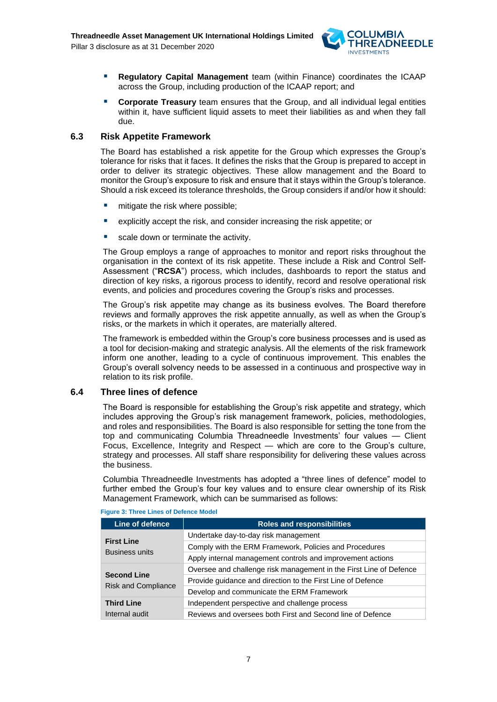

- **Regulatory Capital Management** team (within Finance) coordinates the ICAAP across the Group, including production of the ICAAP report; and
- **EXPORT Corporate Treasury** team ensures that the Group, and all individual legal entities within it, have sufficient liquid assets to meet their liabilities as and when they fall due.

#### <span id="page-6-0"></span>**6.3 Risk Appetite Framework**

The Board has established a risk appetite for the Group which expresses the Group's tolerance for risks that it faces. It defines the risks that the Group is prepared to accept in order to deliver its strategic objectives. These allow management and the Board to monitor the Group's exposure to risk and ensure that it stays within the Group's tolerance. Should a risk exceed its tolerance thresholds, the Group considers if and/or how it should:

- mitigate the risk where possible;
- explicitly accept the risk, and consider increasing the risk appetite; or
- scale down or terminate the activity.

The Group employs a range of approaches to monitor and report risks throughout the organisation in the context of its risk appetite. These include a Risk and Control Self-Assessment ("**RCSA**") process, which includes, dashboards to report the status and direction of key risks, a rigorous process to identify, record and resolve operational risk events, and policies and procedures covering the Group's risks and processes.

The Group's risk appetite may change as its business evolves. The Board therefore reviews and formally approves the risk appetite annually, as well as when the Group's risks, or the markets in which it operates, are materially altered.

The framework is embedded within the Group's core business processes and is used as a tool for decision-making and strategic analysis. All the elements of the risk framework inform one another, leading to a cycle of continuous improvement. This enables the Group's overall solvency needs to be assessed in a continuous and prospective way in relation to its risk profile.

#### <span id="page-6-1"></span>**6.4 Three lines of defence**

The Board is responsible for establishing the Group's risk appetite and strategy, which includes approving the Group's risk management framework, policies, methodologies, and roles and responsibilities. The Board is also responsible for setting the tone from the top and communicating Columbia Threadneedle Investments' four values — Client Focus, Excellence, Integrity and Respect — which are core to the Group's culture, strategy and processes. All staff share responsibility for delivering these values across the business.

Columbia Threadneedle Investments has adopted a "three lines of defence" model to further embed the Group's four key values and to ensure clear ownership of its Risk Management Framework, which can be summarised as follows:

| Line of defence            | <b>Roles and responsibilities</b>                                  |
|----------------------------|--------------------------------------------------------------------|
| <b>First Line</b>          | Undertake day-to-day risk management                               |
| <b>Business units</b>      | Comply with the ERM Framework, Policies and Procedures             |
|                            | Apply internal management controls and improvement actions         |
|                            | Oversee and challenge risk management in the First Line of Defence |
| <b>Second Line</b>         | Provide guidance and direction to the First Line of Defence        |
| <b>Risk and Compliance</b> | Develop and communicate the ERM Framework                          |
| <b>Third Line</b>          | Independent perspective and challenge process                      |
| Internal audit             | Reviews and oversees both First and Second line of Defence         |

#### **Figure 3: Three Lines of Defence Model**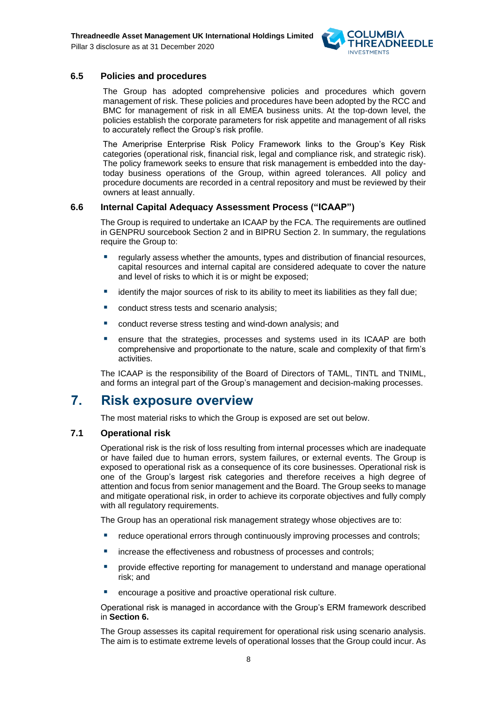

#### <span id="page-7-0"></span>**6.5 Policies and procedures**

The Group has adopted comprehensive policies and procedures which govern management of risk. These policies and procedures have been adopted by the RCC and BMC for management of risk in all EMEA business units. At the top-down level, the policies establish the corporate parameters for risk appetite and management of all risks to accurately reflect the Group's risk profile.

The Ameriprise Enterprise Risk Policy Framework links to the Group's Key Risk categories (operational risk, financial risk, legal and compliance risk, and strategic risk). The policy framework seeks to ensure that risk management is embedded into the daytoday business operations of the Group, within agreed tolerances. All policy and procedure documents are recorded in a central repository and must be reviewed by their owners at least annually.

#### <span id="page-7-1"></span>**6.6 Internal Capital Adequacy Assessment Process ("ICAAP")**

The Group is required to undertake an ICAAP by the FCA. The requirements are outlined in GENPRU sourcebook Section 2 and in BIPRU Section 2. In summary, the regulations require the Group to:

- regularly assess whether the amounts, types and distribution of financial resources, capital resources and internal capital are considered adequate to cover the nature and level of risks to which it is or might be exposed;
- identify the major sources of risk to its ability to meet its liabilities as they fall due:
- conduct stress tests and scenario analysis;
- conduct reverse stress testing and wind-down analysis; and
- ensure that the strategies, processes and systems used in its ICAAP are both comprehensive and proportionate to the nature, scale and complexity of that firm's activities.

The ICAAP is the responsibility of the Board of Directors of TAML, TINTL and TNIML, and forms an integral part of the Group's management and decision-making processes.

### <span id="page-7-2"></span>**7. Risk exposure overview**

The most material risks to which the Group is exposed are set out below.

#### <span id="page-7-3"></span>**7.1 Operational risk**

Operational risk is the risk of loss resulting from internal processes which are inadequate or have failed due to human errors, system failures, or external events. The Group is exposed to operational risk as a consequence of its core businesses. Operational risk is one of the Group's largest risk categories and therefore receives a high degree of attention and focus from senior management and the Board. The Group seeks to manage and mitigate operational risk, in order to achieve its corporate objectives and fully comply with all regulatory requirements.

The Group has an operational risk management strategy whose objectives are to:

- reduce operational errors through continuously improving processes and controls;
- **E** increase the effectiveness and robustness of processes and controls;
- provide effective reporting for management to understand and manage operational risk; and
- encourage a positive and proactive operational risk culture.

Operational risk is managed in accordance with the Group's ERM framework described in **Section 6.**

The Group assesses its capital requirement for operational risk using scenario analysis. The aim is to estimate extreme levels of operational losses that the Group could incur. As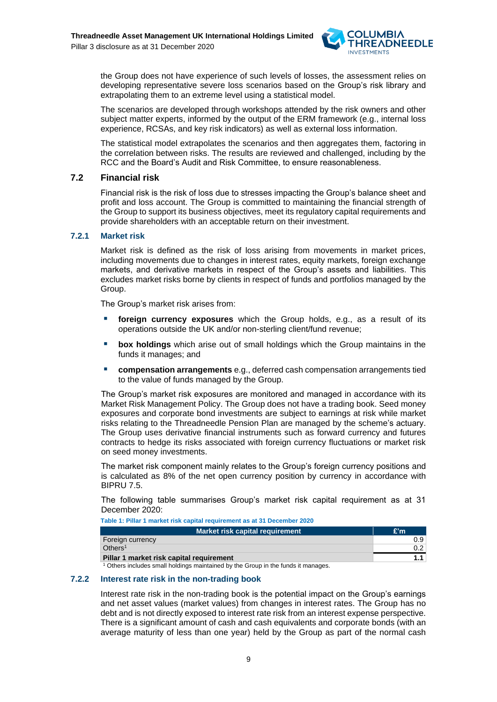

the Group does not have experience of such levels of losses, the assessment relies on developing representative severe loss scenarios based on the Group's risk library and extrapolating them to an extreme level using a statistical model.

The scenarios are developed through workshops attended by the risk owners and other subject matter experts, informed by the output of the ERM framework (e.g., internal loss experience, RCSAs, and key risk indicators) as well as external loss information.

The statistical model extrapolates the scenarios and then aggregates them, factoring in the correlation between risks. The results are reviewed and challenged, including by the RCC and the Board's Audit and Risk Committee, to ensure reasonableness.

#### <span id="page-8-0"></span>**7.2 Financial risk**

Financial risk is the risk of loss due to stresses impacting the Group's balance sheet and profit and loss account. The Group is committed to maintaining the financial strength of the Group to support its business objectives, meet its regulatory capital requirements and provide shareholders with an acceptable return on their investment.

#### **7.2.1 Market risk**

Market risk is defined as the risk of loss arising from movements in market prices, including movements due to changes in interest rates, equity markets, foreign exchange markets, and derivative markets in respect of the Group's assets and liabilities. This excludes market risks borne by clients in respect of funds and portfolios managed by the Group.

The Group's market risk arises from:

- foreign currency exposures which the Group holds, e.g., as a result of its operations outside the UK and/or non-sterling client/fund revenue;
- **box holdings** which arise out of small holdings which the Group maintains in the funds it manages; and
- **compensation arrangements** e.g., deferred cash compensation arrangements tied to the value of funds managed by the Group.

The Group's market risk exposures are monitored and managed in accordance with its Market Risk Management Policy. The Group does not have a trading book. Seed money exposures and corporate bond investments are subject to earnings at risk while market risks relating to the Threadneedle Pension Plan are managed by the scheme's actuary. The Group uses derivative financial instruments such as forward currency and futures contracts to hedge its risks associated with foreign currency fluctuations or market risk on seed money investments.

The market risk component mainly relates to the Group's foreign currency positions and is calculated as 8% of the net open currency position by currency in accordance with BIPRU 7.5.

The following table summarises Group's market risk capital requirement as at 31 December 2020:

**Table 1: Pillar 1 market risk capital requirement as at 31 December 2020**

| Market risk capital requirement          | E'm |
|------------------------------------------|-----|
| Foreign currency                         | 0.9 |
| Others <sup>1</sup>                      |     |
| Pillar 1 market risk capital requirement |     |

<sup>1</sup> Others includes small holdings maintained by the Group in the funds it manages.

#### **7.2.2 Interest rate risk in the non-trading book**

Interest rate risk in the non-trading book is the potential impact on the Group's earnings and net asset values (market values) from changes in interest rates. The Group has no debt and is not directly exposed to interest rate risk from an interest expense perspective. There is a significant amount of cash and cash equivalents and corporate bonds (with an average maturity of less than one year) held by the Group as part of the normal cash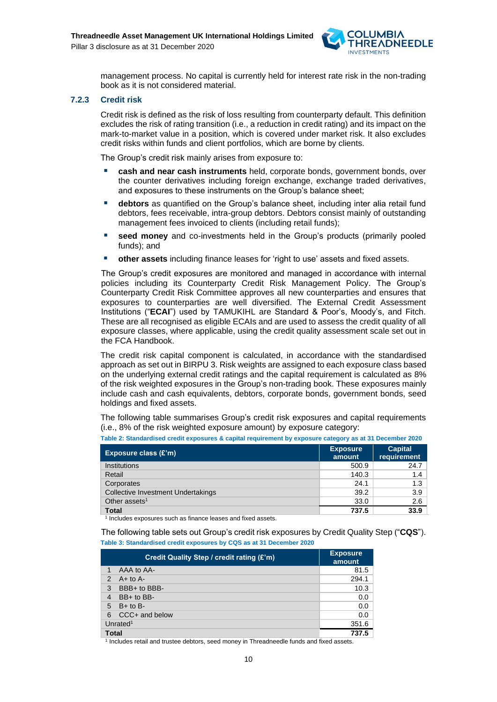

management process. No capital is currently held for interest rate risk in the non-trading book as it is not considered material.

#### **7.2.3 Credit risk**

Credit risk is defined as the risk of loss resulting from counterparty default. This definition excludes the risk of rating transition (i.e., a reduction in credit rating) and its impact on the mark-to-market value in a position, which is covered under market risk. It also excludes credit risks within funds and client portfolios, which are borne by clients.

The Group's credit risk mainly arises from exposure to:

- **cash and near cash instruments** held, corporate bonds, government bonds, over the counter derivatives including foreign exchange, exchange traded derivatives, and exposures to these instruments on the Group's balance sheet;
- **E** debtors as quantified on the Group's balance sheet, including inter alia retail fund debtors, fees receivable, intra-group debtors. Debtors consist mainly of outstanding management fees invoiced to clients (including retail funds);
- **seed money** and co-investments held in the Group's products (primarily pooled funds); and
- other assets including finance leases for 'right to use' assets and fixed assets.

The Group's credit exposures are monitored and managed in accordance with internal policies including its Counterparty Credit Risk Management Policy. The Group's Counterparty Credit Risk Committee approves all new counterparties and ensures that exposures to counterparties are well diversified. The External Credit Assessment Institutions ("**ECAI**") used by TAMUKIHL are Standard & Poor's, Moody's, and Fitch. These are all recognised as eligible ECAIs and are used to assess the credit quality of all exposure classes, where applicable, using the credit quality assessment scale set out in the FCA Handbook.

The credit risk capital component is calculated, in accordance with the standardised approach as set out in BIRPU 3. Risk weights are assigned to each exposure class based on the underlying external credit ratings and the capital requirement is calculated as 8% of the risk weighted exposures in the Group's non-trading book. These exposures mainly include cash and cash equivalents, debtors, corporate bonds, government bonds, seed holdings and fixed assets.

The following table summarises Group's credit risk exposures and capital requirements (i.e., 8% of the risk weighted exposure amount) by exposure category:

| Exposure class $(E'm)$             | <b>Exposure</b><br>amount | <b>Capital</b><br>requirement |
|------------------------------------|---------------------------|-------------------------------|
| Institutions                       | 500.9                     | 24.7                          |
| Retail                             | 140.3                     | 1.4                           |
| Corporates                         | 24.1                      | 1.3                           |
| Collective Investment Undertakings | 39.2                      | 3.9                           |
| Other assets <sup>1</sup>          | 33.0                      | 2.6                           |
| <b>Total</b>                       | 737.5                     | 33.9                          |

<sup>1</sup> Includes exposures such as finance leases and fixed assets.

The following table sets out Group's credit risk exposures by Credit Quality Step ("**CQS**"). **Table 3: Standardised credit exposures by CQS as at 31 December 2020**

| Credit Quality Step / credit rating (£'m) | <b>Exposure</b><br>amount |
|-------------------------------------------|---------------------------|
| AAA to AA-<br>1                           | 81.5                      |
| $A+$ to $A-$<br>$\mathcal{P}$             | 294.1                     |
| BBB+ to BBB-<br>3                         | 10.3                      |
| BB+ to BB-<br>4                           | 0.0                       |
| $B+$ to B-<br>5                           | 0.0                       |
| CCC+ and below<br>6                       | 0.0                       |
| Unrated <sup>1</sup>                      | 351.6                     |
| Total                                     | 737.5                     |

1 Includes retail and trustee debtors, seed money in Threadneedle funds and fixed assets.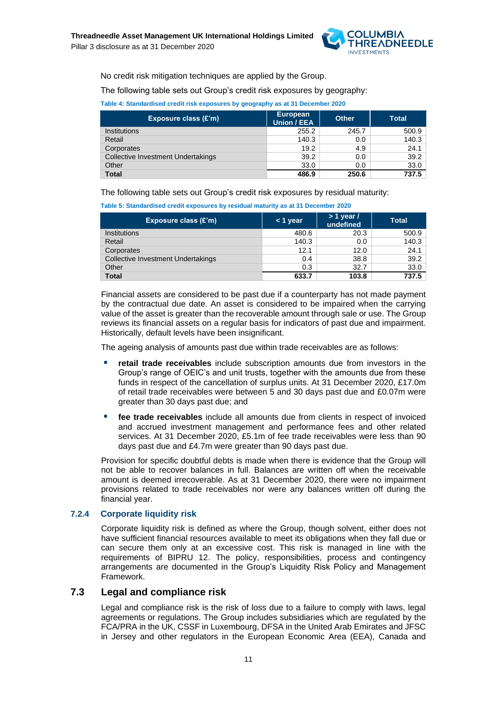

No credit risk mitigation techniques are applied by the Group.

The following table sets out Group's credit risk exposures by geography:

| Table 4: Standardised credit risk exposures by geography as at 31 December 2020 |  |  |
|---------------------------------------------------------------------------------|--|--|
|---------------------------------------------------------------------------------|--|--|

| Exposure class (£'m)               | European<br>Union / EEA | <b>Other</b> | <b>Total</b> |
|------------------------------------|-------------------------|--------------|--------------|
| <b>Institutions</b>                | 255.2                   | 245.7        | 500.9        |
| Retail                             | 140.3                   | 0.0          | 140.3        |
| Corporates                         | 19.2                    | 4.9          | 24.1         |
| Collective Investment Undertakings | 39.2                    | 0.0          | 39.2         |
| Other                              | 33.0                    | 0.0          | 33.0         |
| <b>Total</b>                       | 486.9                   | 250.6        | 737.5        |

The following table sets out Group's credit risk exposures by residual maturity:

**Table 5: Standardised credit exposures by residual maturity as at 31 December 2020**

| Exposure class (£'m)               | $<$ 1 year | $> 1$ year /<br>undefined | <b>Total</b> |
|------------------------------------|------------|---------------------------|--------------|
| <b>Institutions</b>                | 480.6      | 20.3                      | 500.9        |
| Retail                             | 140.3      | 0.0                       | 140.3        |
| Corporates                         | 12.1       | 12.0                      | 24.1         |
| Collective Investment Undertakings | 0.4        | 38.8                      | 39.2         |
| Other                              | 0.3        | 32.7                      | 33.0         |
| <b>Total</b>                       | 633.7      | 103.8                     | 737.5        |

Financial assets are considered to be past due if a counterparty has not made payment by the contractual due date. An asset is considered to be impaired when the carrying value of the asset is greater than the recoverable amount through sale or use. The Group reviews its financial assets on a regular basis for indicators of past due and impairment. Historically, default levels have been insignificant.

The ageing analysis of amounts past due within trade receivables are as follows:

- **retail trade receivables** include subscription amounts due from investors in the Group's range of OEIC's and unit trusts, together with the amounts due from these funds in respect of the cancellation of surplus units. At 31 December 2020, £17.0m of retail trade receivables were between 5 and 30 days past due and £0.07m were greater than 30 days past due; and
- **fee trade receivables** include all amounts due from clients in respect of invoiced and accrued investment management and performance fees and other related services. At 31 December 2020, £5.1m of fee trade receivables were less than 90 days past due and £4.7m were greater than 90 days past due.

Provision for specific doubtful debts is made when there is evidence that the Group will not be able to recover balances in full. Balances are written off when the receivable amount is deemed irrecoverable. As at 31 December 2020, there were no impairment provisions related to trade receivables nor were any balances written off during the financial year.

#### **7.2.4 Corporate liquidity risk**

Corporate liquidity risk is defined as where the Group, though solvent, either does not have sufficient financial resources available to meet its obligations when they fall due or can secure them only at an excessive cost. This risk is managed in line with the requirements of BIPRU 12. The policy, responsibilities, process and contingency arrangements are documented in the Group's Liquidity Risk Policy and Management Framework.

#### **7.3 Legal and compliance risk**

<span id="page-10-0"></span>Legal and compliance risk is the risk of loss due to a failure to comply with laws, legal agreements or regulations. The Group includes subsidiaries which are regulated by the FCA/PRA in the UK, CSSF in Luxembourg, DFSA in the United Arab Emirates and JFSC in Jersey and other regulators in the European Economic Area (EEA), Canada and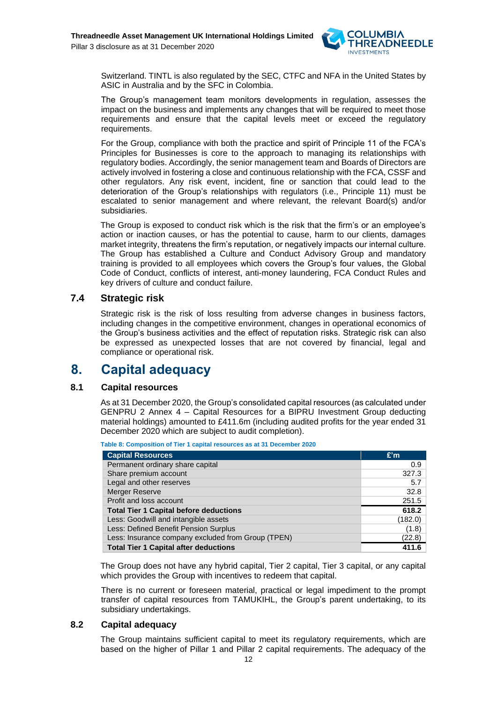

Switzerland. TINTL is also regulated by the SEC, CTFC and NFA in the United States by ASIC in Australia and by the SFC in Colombia.

The Group's management team monitors developments in regulation, assesses the impact on the business and implements any changes that will be required to meet those requirements and ensure that the capital levels meet or exceed the regulatory requirements.

For the Group, compliance with both the practice and spirit of Principle 11 of the FCA's Principles for Businesses is core to the approach to managing its relationships with regulatory bodies. Accordingly, the senior management team and Boards of Directors are actively involved in fostering a close and continuous relationship with the FCA, CSSF and other regulators. Any risk event, incident, fine or sanction that could lead to the deterioration of the Group's relationships with regulators (i.e., Principle 11) must be escalated to senior management and where relevant, the relevant Board(s) and/or subsidiaries.

The Group is exposed to conduct risk which is the risk that the firm's or an employee's action or inaction causes, or has the potential to cause, harm to our clients, damages market integrity, threatens the firm's reputation, or negatively impacts our internal culture. The Group has established a Culture and Conduct Advisory Group and mandatory training is provided to all employees which covers the Group's four values, the Global Code of Conduct, conflicts of interest, anti-money laundering, FCA Conduct Rules and key drivers of culture and conduct failure.

#### <span id="page-11-0"></span>**7.4 Strategic risk**

<span id="page-11-1"></span>Strategic risk is the risk of loss resulting from adverse changes in business factors, including changes in the competitive environment, changes in operational economics of the Group's business activities and the effect of reputation risks. Strategic risk can also be expressed as unexpected losses that are not covered by financial, legal and compliance or operational risk.

### **8. Capital adequacy**

#### **8.1 Capital resources**

<span id="page-11-2"></span>As at 31 December 2020, the Group's consolidated capital resources (as calculated under GENPRU 2 Annex 4 – Capital Resources for a BIPRU Investment Group deducting material holdings) amounted to £411.6m (including audited profits for the year ended 31 December 2020 which are subject to audit completion).

| <b>Capital Resources</b>                           | E'm     |
|----------------------------------------------------|---------|
| Permanent ordinary share capital                   | 0.9     |
| Share premium account                              | 327.3   |
| Legal and other reserves                           | 5.7     |
| <b>Merger Reserve</b>                              | 32.8    |
| Profit and loss account                            | 251.5   |
| <b>Total Tier 1 Capital before deductions</b>      | 618.2   |
| Less: Goodwill and intangible assets               | (182.0) |
| Less: Defined Benefit Pension Surplus              | (1.8)   |
| Less: Insurance company excluded from Group (TPEN) | (22.8)  |
| <b>Total Tier 1 Capital after deductions</b>       | 411.6   |

The Group does not have any hybrid capital, Tier 2 capital, Tier 3 capital, or any capital which provides the Group with incentives to redeem that capital.

There is no current or foreseen material, practical or legal impediment to the prompt transfer of capital resources from TAMUKIHL, the Group's parent undertaking, to its subsidiary undertakings.

#### **8.2 Capital adequacy**

<span id="page-11-3"></span>The Group maintains sufficient capital to meet its regulatory requirements, which are based on the higher of Pillar 1 and Pillar 2 capital requirements. The adequacy of the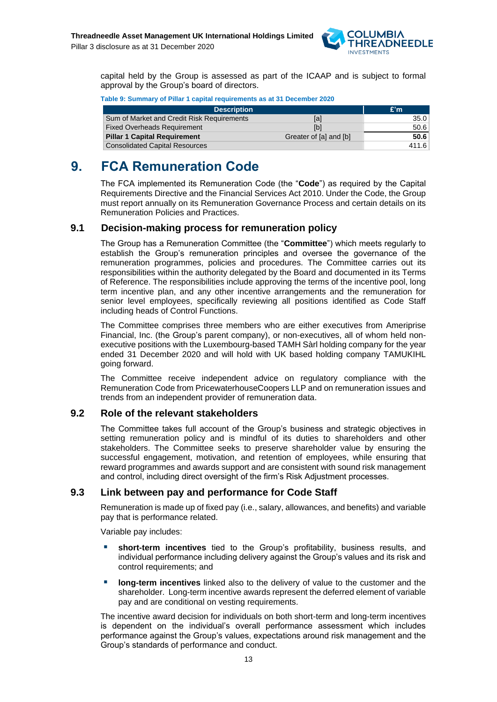

capital held by the Group is assessed as part of the ICAAP and is subject to formal approval by the Group's board of directors.

| Table 9: Summary of Pillar 1 capital requirements as at 31 December 2020 |                        |       |  |
|--------------------------------------------------------------------------|------------------------|-------|--|
| <b>Description</b>                                                       |                        | £'m   |  |
| Sum of Market and Credit Risk Requirements                               | [a]                    | 35.0  |  |
| <b>Fixed Overheads Requirement</b>                                       | [b]                    | 50.6  |  |
| <b>Pillar 1 Capital Requirement</b>                                      | Greater of [a] and [b] | 50.6  |  |
| <b>Consolidated Capital Resources</b>                                    |                        | 411.6 |  |

## <span id="page-12-0"></span>**9. FCA Remuneration Code**

The FCA implemented its Remuneration Code (the "**Code**") as required by the Capital Requirements Directive and the Financial Services Act 2010. Under the Code, the Group must report annually on its Remuneration Governance Process and certain details on its Remuneration Policies and Practices.

#### **9.1 Decision-making process for remuneration policy**

<span id="page-12-1"></span>The Group has a Remuneration Committee (the "**Committee**") which meets regularly to establish the Group's remuneration principles and oversee the governance of the remuneration programmes, policies and procedures. The Committee carries out its responsibilities within the authority delegated by the Board and documented in its Terms of Reference. The responsibilities include approving the terms of the incentive pool, long term incentive plan, and any other incentive arrangements and the remuneration for senior level employees, specifically reviewing all positions identified as Code Staff including heads of Control Functions.

The Committee comprises three members who are either executives from Ameriprise Financial, Inc. (the Group's parent company), or non-executives, all of whom held nonexecutive positions with the Luxembourg-based TAMH Sàrl holding company for the year ended 31 December 2020 and will hold with UK based holding company TAMUKIHL going forward.

The Committee receive independent advice on regulatory compliance with the Remuneration Code from PricewaterhouseCoopers LLP and on remuneration issues and trends from an independent provider of remuneration data.

#### <span id="page-12-2"></span>**9.2 Role of the relevant stakeholders**

The Committee takes full account of the Group's business and strategic objectives in setting remuneration policy and is mindful of its duties to shareholders and other stakeholders. The Committee seeks to preserve shareholder value by ensuring the successful engagement, motivation, and retention of employees, while ensuring that reward programmes and awards support and are consistent with sound risk management and control, including direct oversight of the firm's Risk Adjustment processes.

#### <span id="page-12-3"></span>**9.3 Link between pay and performance for Code Staff**

Remuneration is made up of fixed pay (i.e., salary, allowances, and benefits) and variable pay that is performance related.

Variable pay includes:

- short-term incentives tied to the Group's profitability, business results, and individual performance including delivery against the Group's values and its risk and control requirements; and
- **EXED IDOM-term incentives** linked also to the delivery of value to the customer and the shareholder. Long-term incentive awards represent the deferred element of variable pay and are conditional on vesting requirements.

The incentive award decision for individuals on both short-term and long-term incentives is dependent on the individual's overall performance assessment which includes performance against the Group's values, expectations around risk management and the Group's standards of performance and conduct.